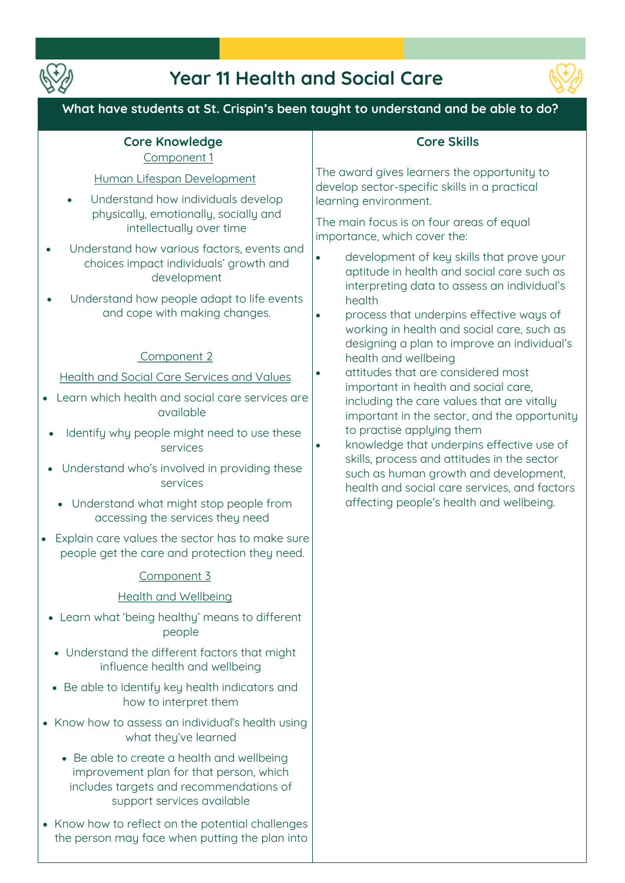

# **Year 11 Health and Social Care**



# **What have students at St. Crispin's been taught to understand and be able to do?**

#### **Core Knowledge Component 1**

#### **Human Lifespan Development**

- **Understand how individuals develop physically, emotionally, socially and intellectually over time**
- **Understand how various factors, events and choices impact individuals' growth and development**
- **Understand how people adapt to life events and cope with making changes.**

#### **Component 2**

**Health and Social Care Services and Values**

- **Learn which health and social care services are available**
- **Identify why people might need to use these services**
- **Understand who's involved in providing these services** 
	- **Understand what might stop people from accessing the services they need**
- **Explain care values the sector has to make sure people get the care and protection they need.**

#### **Component 3**

#### **Health and Wellbeing**

- **Learn what 'being healthy' means to different people**
- **Understand the different factors that might influence health and wellbeing**
- **Be able to identify key health indicators and how to interpret them**
- **Know how to assess an individual's health using what they've learned** 
	- **Be able to create a health and wellbeing improvement plan for that person, which includes targets and recommendations of support services available**
- **Know how to reflect on the potential challenges the person may face when putting the plan into**

## **Core Skills**

**The award gives learners the opportunity to develop sector-specific skills in a practical learning environment.** 

**The main focus is on four areas of equal importance, which cover the:** 

- **development of key skills that prove your aptitude in health and social care such as interpreting data to assess an individual's health**
- **process that underpins effective ways of working in health and social care, such as designing a plan to improve an individual's health and wellbeing**
- **attitudes that are considered most important in health and social care, including the care values that are vitally important in the sector, and the opportunity to practise applying them**
- **knowledge that underpins effective use of skills, process and attitudes in the sector such as human growth and development, health and social care services, and factors affecting people's health and wellbeing.**